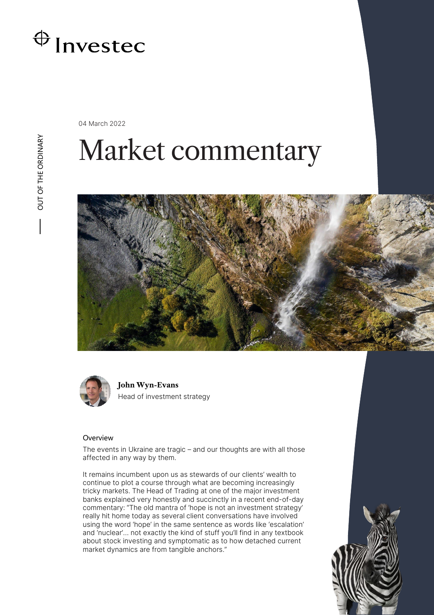

04 March 2022

OUT OF THE ORDINARY OUT OF THE ORDINARY

# Market commentary





**John Wyn-Evans** Head of investment strategy

# **Overview**

The events in Ukraine are tragic – and our thoughts are with all those affected in any way by them.

It remains incumbent upon us as stewards of our clients' wealth to continue to plot a course through what are becoming increasingly tricky markets. The Head of Trading at one of the major investment banks explained very honestly and succinctly in a recent end-of-day commentary: "The old mantra of 'hope is not an investment strategy' really hit home today as several client conversations have involved using the word 'hope' in the same sentence as words like 'escalation' and 'nuclear'… not exactly the kind of stuff you'll find in any textbook about stock investing and symptomatic as to how detached current market dynamics are from tangible anchors."

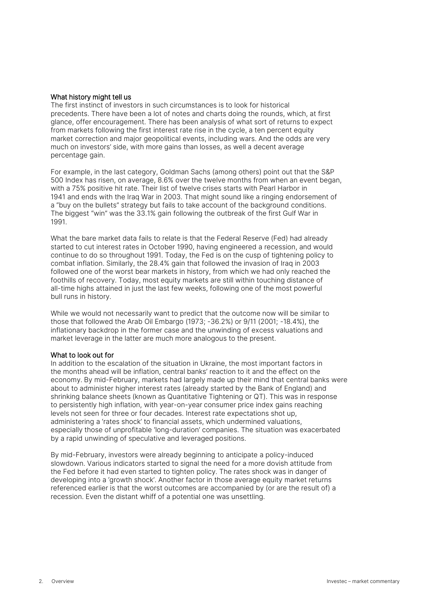### What history might tell us

The first instinct of investors in such circumstances is to look for historical precedents. There have been a lot of notes and charts doing the rounds, which, at first glance, offer encouragement. There has been analysis of what sort of returns to expect from markets following the first interest rate rise in the cycle, a ten percent equity market correction and major geopolitical events, including wars. And the odds are very much on investors' side, with more gains than losses, as well a decent average percentage gain.

For example, in the last category, Goldman Sachs (among others) point out that the S&P 500 Index has risen, on average, 8.6% over the twelve months from when an event began, with a 75% positive hit rate. Their list of twelve crises starts with Pearl Harbor in 1941 and ends with the Iraq War in 2003. That might sound like a ringing endorsement of a "buy on the bullets" strategy but fails to take account of the background conditions. The biggest "win" was the 33.1% gain following the outbreak of the first Gulf War in 1991.

What the bare market data fails to relate is that the Federal Reserve (Fed) had already started to cut interest rates in October 1990, having engineered a recession, and would continue to do so throughout 1991. Today, the Fed is on the cusp of tightening policy to combat inflation. Similarly, the 28.4% gain that followed the invasion of Iraq in 2003 followed one of the worst bear markets in history, from which we had only reached the foothills of recovery. Today, most equity markets are still within touching distance of all-time highs attained in just the last few weeks, following one of the most powerful bull runs in history.

While we would not necessarily want to predict that the outcome now will be similar to those that followed the Arab Oil Embargo (1973; -36.2%) or 9/11 (2001; -18.4%), the inflationary backdrop in the former case and the unwinding of excess valuations and market leverage in the latter are much more analogous to the present.

#### What to look out for

In addition to the escalation of the situation in Ukraine, the most important factors in the months ahead will be inflation, central banks' reaction to it and the effect on the economy. By mid-February, markets had largely made up their mind that central banks were about to administer higher interest rates (already started by the Bank of England) and shrinking balance sheets (known as Quantitative Tightening or QT). This was in response to persistently high inflation, with year-on-year consumer price index gains reaching levels not seen for three or four decades. Interest rate expectations shot up, administering a 'rates shock' to financial assets, which undermined valuations, especially those of unprofitable 'long-duration' companies. The situation was exacerbated by a rapid unwinding of speculative and leveraged positions.

By mid-February, investors were already beginning to anticipate a policy-induced slowdown. Various indicators started to signal the need for a more dovish attitude from the Fed before it had even started to tighten policy. The rates shock was in danger of developing into a 'growth shock'. Another factor in those average equity market returns referenced earlier is that the worst outcomes are accompanied by (or are the result of) a recession. Even the distant whiff of a potential one was unsettling.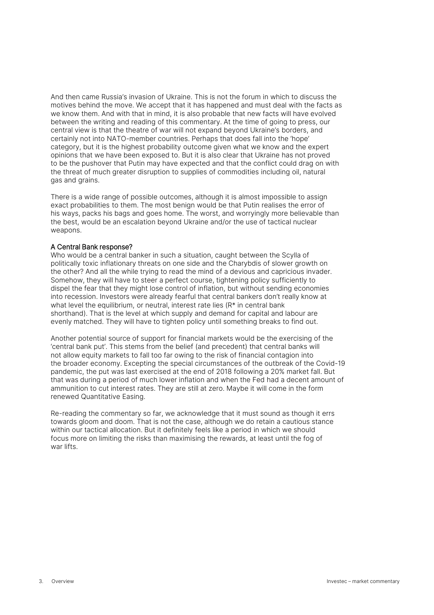And then came Russia's invasion of Ukraine. This is not the forum in which to discuss the motives behind the move. We accept that it has happened and must deal with the facts as we know them. And with that in mind, it is also probable that new facts will have evolved between the writing and reading of this commentary. At the time of going to press, our central view is that the theatre of war will not expand beyond Ukraine's borders, and certainly not into NATO-member countries. Perhaps that does fall into the 'hope' category, but it is the highest probability outcome given what we know and the expert opinions that we have been exposed to. But it is also clear that Ukraine has not proved to be the pushover that Putin may have expected and that the conflict could drag on with the threat of much greater disruption to supplies of commodities including oil, natural gas and grains.

There is a wide range of possible outcomes, although it is almost impossible to assign exact probabilities to them. The most benign would be that Putin realises the error of his ways, packs his bags and goes home. The worst, and worryingly more believable than the best, would be an escalation beyond Ukraine and/or the use of tactical nuclear weapons.

# A Central Bank response?

Who would be a central banker in such a situation, caught between the Scylla of politically toxic inflationary threats on one side and the Charybdis of slower growth on the other? And all the while trying to read the mind of a devious and capricious invader. Somehow, they will have to steer a perfect course, tightening policy sufficiently to dispel the fear that they might lose control of inflation, but without sending economies into recession. Investors were already fearful that central bankers don't really know at what level the equilibrium, or neutral, interest rate lies (R\* in central bank shorthand). That is the level at which supply and demand for capital and labour are evenly matched. They will have to tighten policy until something breaks to find out.

Another potential source of support for financial markets would be the exercising of the 'central bank put'. This stems from the belief (and precedent) that central banks will not allow equity markets to fall too far owing to the risk of financial contagion into the broader economy. Excepting the special circumstances of the outbreak of the Covid-19 pandemic, the put was last exercised at the end of 2018 following a 20% market fall. But that was during a period of much lower inflation and when the Fed had a decent amount of ammunition to cut interest rates. They are still at zero. Maybe it will come in the form renewed Quantitative Easing.

Re-reading the commentary so far, we acknowledge that it must sound as though it errs towards gloom and doom. That is not the case, although we do retain a cautious stance within our tactical allocation. But it definitely feels like a period in which we should focus more on limiting the risks than maximising the rewards, at least until the fog of war lifts.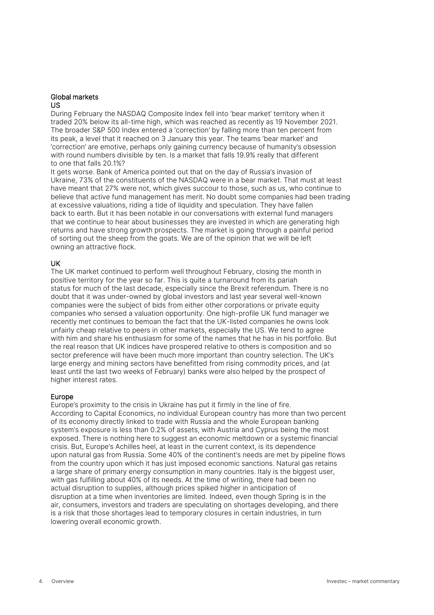#### Global markets US

During February the NASDAQ Composite Index fell into 'bear market' territory when it traded 20% below its all-time high, which was reached as recently as 19 November 2021. The broader S&P 500 Index entered a 'correction' by falling more than ten percent from its peak, a level that it reached on 3 January this year. The teams 'bear market' and 'correction' are emotive, perhaps only gaining currency because of humanity's obsession with round numbers divisible by ten. Is a market that falls 19.9% really that different to one that falls 20.1%?

It gets worse. Bank of America pointed out that on the day of Russia's invasion of Ukraine, 73% of the constituents of the NASDAQ were in a bear market. That must at least have meant that 27% were not, which gives succour to those, such as us, who continue to believe that active fund management has merit. No doubt some companies had been trading at excessive valuations, riding a tide of liquidity and speculation. They have fallen back to earth. But it has been notable in our conversations with external fund managers that we continue to hear about businesses they are invested in which are generating high returns and have strong growth prospects. The market is going through a painful period of sorting out the sheep from the goats. We are of the opinion that we will be left owning an attractive flock.

# UK

The UK market continued to perform well throughout February, closing the month in positive territory for the year so far. This is quite a turnaround from its pariah status for much of the last decade, especially since the Brexit referendum. There is no doubt that it was under-owned by global investors and last year several well-known companies were the subject of bids from either other corporations or private equity companies who sensed a valuation opportunity. One high-profile UK fund manager we recently met continues to bemoan the fact that the UK-listed companies he owns look unfairly cheap relative to peers in other markets, especially the US. We tend to agree with him and share his enthusiasm for some of the names that he has in his portfolio. But the real reason that UK indices have prospered relative to others is composition and so sector preference will have been much more important than country selection. The UK's large energy and mining sectors have benefitted from rising commodity prices, and (at least until the last two weeks of February) banks were also helped by the prospect of higher interest rates.

# Europe

Europe's proximity to the crisis in Ukraine has put it firmly in the line of fire. According to Capital Economics, no individual European country has more than two percent of its economy directly linked to trade with Russia and the whole European banking system's exposure is less than 0.2% of assets, with Austria and Cyprus being the most exposed. There is nothing here to suggest an economic meltdown or a systemic financial crisis. But, Europe's Achilles heel, at least in the current context, is its dependence upon natural gas from Russia. Some 40% of the continent's needs are met by pipeline flows from the country upon which it has just imposed economic sanctions. Natural gas retains a large share of primary energy consumption in many countries. Italy is the biggest user, with gas fulfilling about 40% of its needs. At the time of writing, there had been no actual disruption to supplies, although prices spiked higher in anticipation of disruption at a time when inventories are limited. Indeed, even though Spring is in the air, consumers, investors and traders are speculating on shortages developing, and there is a risk that those shortages lead to temporary closures in certain industries, in turn lowering overall economic growth.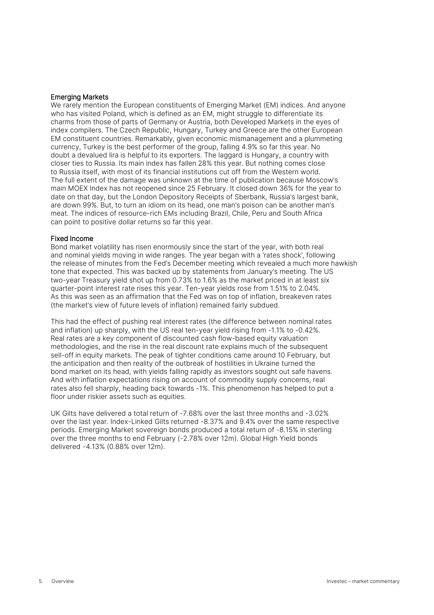# Emerging Markets

We rarely mention the European constituents of Emerging Market (EM) indices. And anyone who has visited Poland, which is defined as an EM, might struggle to differentiate its charms from those of parts of Germany or Austria, both Developed Markets in the eyes of index compilers. The Czech Republic, Hungary, Turkey and Greece are the other European EM constituent countries. Remarkably, given economic mismanagement and a plummeting currency, Turkey is the best performer of the group, falling 4.9% so far this year. No doubt a devalued lira is helpful to its exporters. The laggard is Hungary, a country with closer ties to Russia. Its main index has fallen 28% this year. But nothing comes close to Russia itself, with most of its financial institutions cut off from the Western world. The full extent of the damage was unknown at the time of publication because Moscow's main MOEX Index has not reopened since 25 February. It closed down 36% for the year to date on that day, but the London Depository Receipts of Sberbank, Russia's largest bank, are down 99%. But, to turn an idiom on its head, one man's poison can be another man's meat. The indices of resource-rich EMs including Brazil, Chile, Peru and South Africa can point to positive dollar returns so far this year.

# Fixed Income

Bond market volatility has risen enormously since the start of the year, with both real and nominal yields moving in wide ranges. The year began with a 'rates shock', following the release of minutes from the Fed's December meeting which revealed a much more hawkish tone that expected. This was backed up by statements from January's meeting. The US two-year Treasury yield shot up from 0.73% to 1.6% as the market priced in at least six quarter-point interest rate rises this year. Ten-year yields rose from 1.51% to 2.04%. As this was seen as an affirmation that the Fed was on top of inflation, breakeven rates (the market's view of future levels of inflation) remained fairly subdued.

This had the effect of pushing real interest rates (the difference between nominal rates and inflation) up sharply, with the US real ten-year yield rising from -1.1% to -0.42%. Real rates are a key component of discounted cash flow-based equity valuation methodologies, and the rise in the real discount rate explains much of the subsequent sell-off in equity markets. The peak of tighter conditions came around 10 February, but the anticipation and then reality of the outbreak of hostilities in Ukraine turned the bond market on its head, with yields falling rapidly as investors sought out safe havens. And with inflation expectations rising on account of commodity supply concerns, real rates also fell sharply, heading back towards -1%. This phenomenon has helped to put a floor under riskier assets such as equities.

UK Gilts have delivered a total return of -7.68% over the last three months and -3.02% over the last year. Index-Linked Gilts returned -8.37% and 9.4% over the same respective periods. Emerging Market sovereign bonds produced a total return of -8.15% in sterling over the three months to end February (-2.78% over 12m). Global High Yield bonds delivered -4.13% (0.88% over 12m).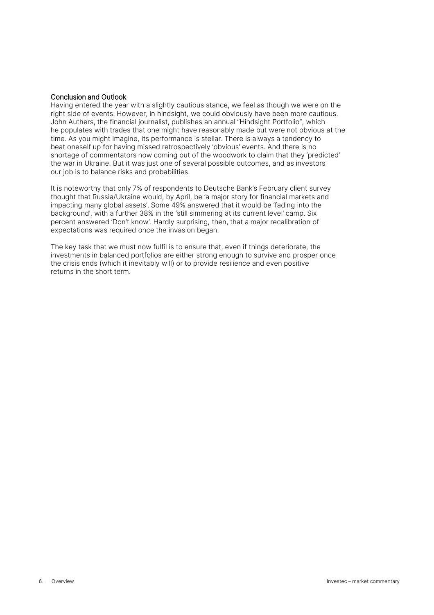# Conclusion and Outlook

Having entered the year with a slightly cautious stance, we feel as though we were on the right side of events. However, in hindsight, we could obviously have been more cautious. John Authers, the financial journalist, publishes an annual "Hindsight Portfolio", which he populates with trades that one might have reasonably made but were not obvious at the time. As you might imagine, its performance is stellar. There is always a tendency to beat oneself up for having missed retrospectively 'obvious' events. And there is no shortage of commentators now coming out of the woodwork to claim that they 'predicted' the war in Ukraine. But it was just one of several possible outcomes, and as investors our job is to balance risks and probabilities.

It is noteworthy that only 7% of respondents to Deutsche Bank's February client survey thought that Russia/Ukraine would, by April, be 'a major story for financial markets and impacting many global assets'. Some 49% answered that it would be 'fading into the background', with a further 38% in the 'still simmering at its current level' camp. Six percent answered 'Don't know'. Hardly surprising, then, that a major recalibration of expectations was required once the invasion began.

The key task that we must now fulfil is to ensure that, even if things deteriorate, the investments in balanced portfolios are either strong enough to survive and prosper once the crisis ends (which it inevitably will) or to provide resilience and even positive returns in the short term.